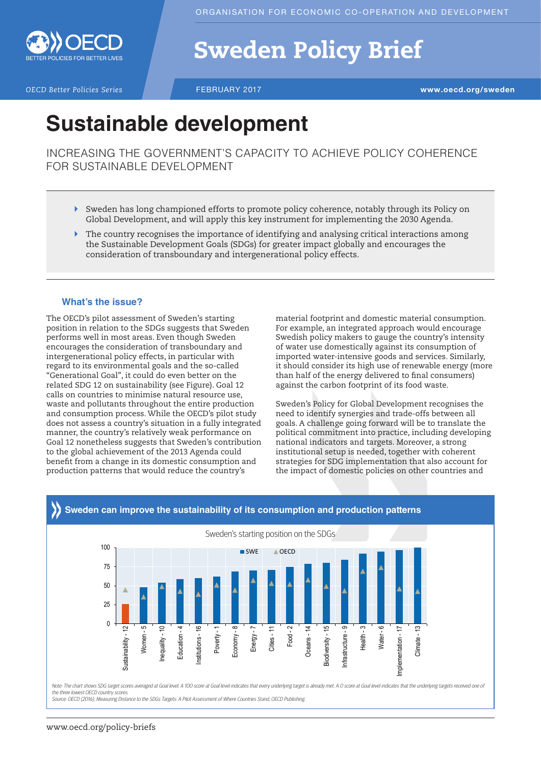

# Sweden Policy Brief

**OECD Better Policies Series** FEBRUARY 2017 **WWW.oecd.org/sweden** 

## **Sustainable development**

INCREASING THE GOVERNMENT'S CAPACITY TO ACHIEVE POLICY COHERENCE FOR SUSTAINABLE DEVELOPMENT

- ` Sweden has long championed efforts to promote policy coherence, notably through its Policy on Global Development, and will apply this key instrument for implementing the 2030 Agenda.
- $\blacktriangleright$  The country recognises the importance of identifying and analysing critical interactions among the Sustainable Development Goals (SDGs) for greater impact globally and encourages the consideration of transboundary and intergenerational policy effects.

### **What's the issue?**

The OECD's pilot assessment of Sweden's starting position in relation to the SDGs suggests that Sweden performs well in most areas. Even though Sweden encourages the consideration of transboundary and intergenerational policy effects, in particular with regard to its environmental goals and the so-called "Generational Goal", it could do even better on the related SDG 12 on sustainability (see Figure). Goal 12 calls on countries to minimise natural resource use, waste and pollutants throughout the entire production and consumption process. While the OECD's pilot study does not assess a country's situation in a fully integrated manner, the country's relatively weak performance on Goal 12 nonetheless suggests that Sweden's contribution to the global achievement of the 2013 Agenda could benefit from a change in its domestic consumption and production patterns that would reduce the country's

material footprint and domestic material consumption. For example, an integrated approach would encourage Swedish policy makers to gauge the country's intensity of water use domestically against its consumption of imported water-intensive goods and services. Similarly, it should consider its high use of renewable energy (more than half of the energy delivered to final consumers) against the carbon footprint of its food waste.

Sweden's Policy for Global Development recognises the need to identify synergies and trade-offs between all goals. A challenge going forward will be to translate the political commitment into practice, including developing national indicators and targets. Moreover, a strong institutional setup is needed, together with coherent strategies for SDG implementation that also account for the impact of domestic policies on other countries and



## **Sweden can improve the sustainability of its consumption and production patterns**